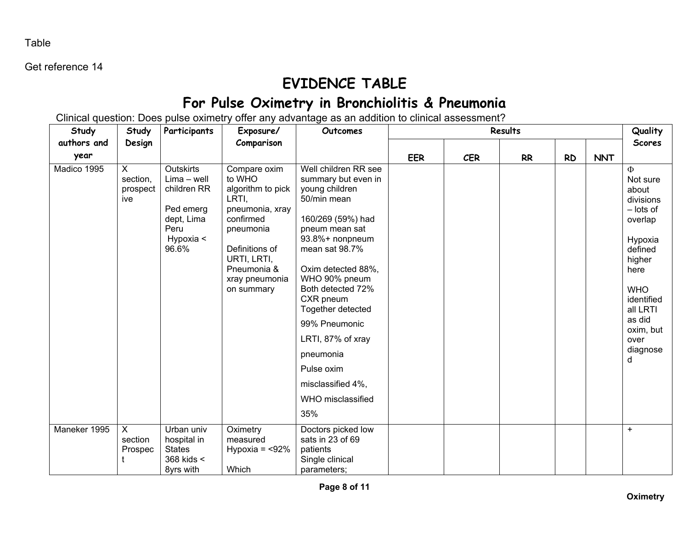Table

Get reference 14

## **EVIDENCE TABLE**

## **For Pulse Oximetry in Bronchiolitis & Pneumonia**

Clinical question: Does pulse oximetry offer any advantage as an addition to clinical assessment?

| Study        | Study                                   | Participants                                                                                              | Exposure/                                                                                                                                                                         | Outcomes                                                                                                                                                                                                                                                                                                                                                                 | Results    |            |           |           |            | Quality                                                                                                                                                                                          |
|--------------|-----------------------------------------|-----------------------------------------------------------------------------------------------------------|-----------------------------------------------------------------------------------------------------------------------------------------------------------------------------------|--------------------------------------------------------------------------------------------------------------------------------------------------------------------------------------------------------------------------------------------------------------------------------------------------------------------------------------------------------------------------|------------|------------|-----------|-----------|------------|--------------------------------------------------------------------------------------------------------------------------------------------------------------------------------------------------|
| authors and  | Design                                  |                                                                                                           | Comparison                                                                                                                                                                        |                                                                                                                                                                                                                                                                                                                                                                          |            |            |           |           |            | <b>Scores</b>                                                                                                                                                                                    |
| year         |                                         |                                                                                                           |                                                                                                                                                                                   |                                                                                                                                                                                                                                                                                                                                                                          | <b>EER</b> | <b>CER</b> | <b>RR</b> | <b>RD</b> | <b>NNT</b> |                                                                                                                                                                                                  |
| Madico 1995  | $\times$<br>section,<br>prospect<br>ive | <b>Outskirts</b><br>$Lima - well$<br>children RR<br>Ped emerg<br>dept, Lima<br>Peru<br>Hypoxia <<br>96.6% | Compare oxim<br>to WHO<br>algorithm to pick<br>LRTI,<br>pneumonia, xray<br>confirmed<br>pneumonia<br>Definitions of<br>URTI, LRTI,<br>Pneumonia &<br>xray pneumonia<br>on summary | Well children RR see<br>summary but even in<br>young children<br>50/min mean<br>160/269 (59%) had<br>pneum mean sat<br>93.8%+ nonpneum<br>mean sat 98.7%<br>Oxim detected 88%,<br>WHO 90% pneum<br>Both detected 72%<br>CXR pneum<br>Together detected<br>99% Pneumonic<br>LRTI, 87% of xray<br>pneumonia<br>Pulse oxim<br>misclassified 4%,<br>WHO misclassified<br>35% |            |            |           |           |            | $\Phi$<br>Not sure<br>about<br>divisions<br>- lots of<br>overlap<br>Hypoxia<br>defined<br>higher<br>here<br><b>WHO</b><br>identified<br>all LRTI<br>as did<br>oxim, but<br>over<br>diagnose<br>d |
| Maneker 1995 | $\mathsf{X}$<br>section<br>Prospec      | Urban univ<br>hospital in<br><b>States</b><br>368 kids <<br>8yrs with                                     | Oximetry<br>measured<br>Hypoxia = $<$ 92%<br>Which                                                                                                                                | Doctors picked low<br>sats in 23 of 69<br>patients<br>Single clinical<br>parameters;                                                                                                                                                                                                                                                                                     |            |            |           |           |            | $+$                                                                                                                                                                                              |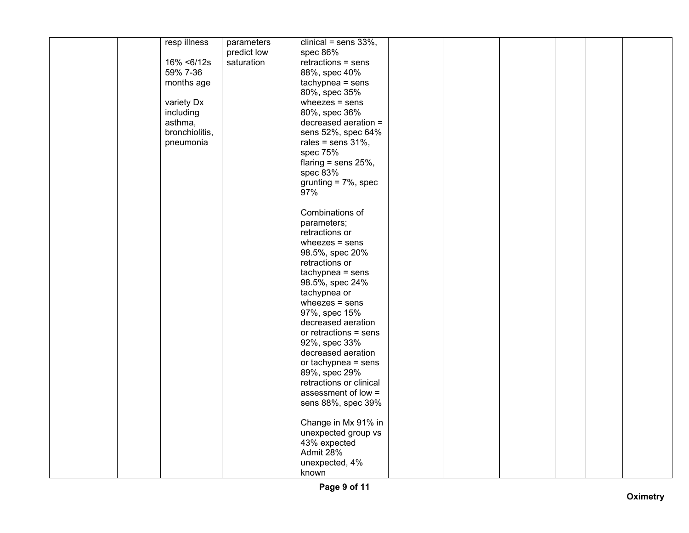|  | resp illness   | parameters  | clinical = sens $33\%$ , |  |  |  |
|--|----------------|-------------|--------------------------|--|--|--|
|  |                | predict low | spec 86%                 |  |  |  |
|  | 16% <6/12s     | saturation  | $retractions = sens$     |  |  |  |
|  |                |             |                          |  |  |  |
|  | 59% 7-36       |             | 88%, spec 40%            |  |  |  |
|  | months age     |             | $tachypnea = sens$       |  |  |  |
|  |                |             | 80%, spec 35%            |  |  |  |
|  | variety Dx     |             | wheezes $=$ sens         |  |  |  |
|  | including      |             | 80%, spec 36%            |  |  |  |
|  |                |             |                          |  |  |  |
|  | asthma,        |             | decreased aeration =     |  |  |  |
|  | bronchiolitis, |             | sens 52%, spec 64%       |  |  |  |
|  | pneumonia      |             | rales = sens $31\%$ ,    |  |  |  |
|  |                |             | spec 75%                 |  |  |  |
|  |                |             | flaring = sens $25%$ ,   |  |  |  |
|  |                |             | spec 83%                 |  |  |  |
|  |                |             |                          |  |  |  |
|  |                |             | grunting $= 7\%$ , spec  |  |  |  |
|  |                |             | 97%                      |  |  |  |
|  |                |             |                          |  |  |  |
|  |                |             | Combinations of          |  |  |  |
|  |                |             | parameters;              |  |  |  |
|  |                |             | retractions or           |  |  |  |
|  |                |             |                          |  |  |  |
|  |                |             | wheezes $=$ sens         |  |  |  |
|  |                |             | 98.5%, spec 20%          |  |  |  |
|  |                |             | retractions or           |  |  |  |
|  |                |             | $tachypnea = sens$       |  |  |  |
|  |                |             | 98.5%, spec 24%          |  |  |  |
|  |                |             |                          |  |  |  |
|  |                |             | tachypnea or             |  |  |  |
|  |                |             | wheezes $=$ sens         |  |  |  |
|  |                |             | 97%, spec 15%            |  |  |  |
|  |                |             | decreased aeration       |  |  |  |
|  |                |             | or retractions $=$ sens  |  |  |  |
|  |                |             | 92%, spec 33%            |  |  |  |
|  |                |             | decreased aeration       |  |  |  |
|  |                |             |                          |  |  |  |
|  |                |             | or tachypnea $=$ sens    |  |  |  |
|  |                |             | 89%, spec 29%            |  |  |  |
|  |                |             | retractions or clinical  |  |  |  |
|  |                |             | assessment of low =      |  |  |  |
|  |                |             | sens 88%, spec 39%       |  |  |  |
|  |                |             |                          |  |  |  |
|  |                |             |                          |  |  |  |
|  |                |             | Change in Mx 91% in      |  |  |  |
|  |                |             | unexpected group vs      |  |  |  |
|  |                |             | 43% expected             |  |  |  |
|  |                |             | Admit 28%                |  |  |  |
|  |                |             | unexpected, 4%           |  |  |  |
|  |                |             | known                    |  |  |  |
|  |                |             |                          |  |  |  |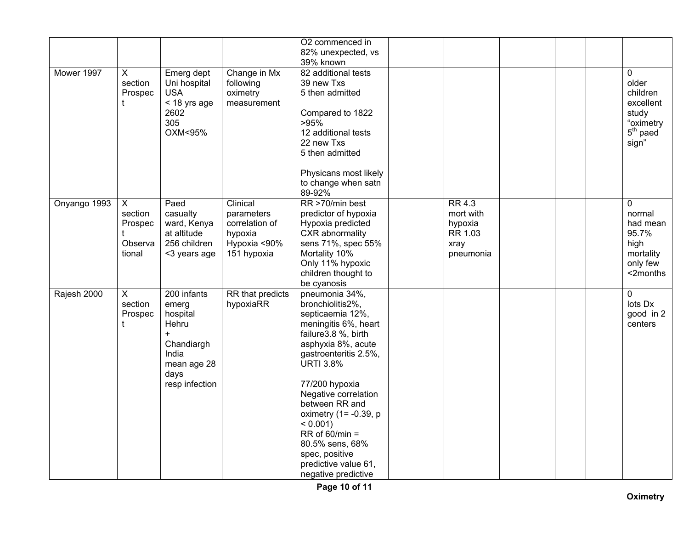|              |                                              |                                                                                                                        |                                                                                    | O2 commenced in<br>82% unexpected, vs<br>39% known                                                                                                                                                                                                                                                                                                                                       |                                                                       |  |                                                                                         |
|--------------|----------------------------------------------|------------------------------------------------------------------------------------------------------------------------|------------------------------------------------------------------------------------|------------------------------------------------------------------------------------------------------------------------------------------------------------------------------------------------------------------------------------------------------------------------------------------------------------------------------------------------------------------------------------------|-----------------------------------------------------------------------|--|-----------------------------------------------------------------------------------------|
| Mower 1997   | X<br>section<br>Prospec<br>t                 | Emerg dept<br>Uni hospital<br><b>USA</b><br>$<$ 18 yrs age<br>2602<br>305<br>OXM<95%                                   | Change in Mx<br>following<br>oximetry<br>measurement                               | 82 additional tests<br>39 new Txs<br>5 then admitted<br>Compared to 1822<br>>95%<br>12 additional tests<br>22 new Txs<br>5 then admitted<br>Physicans most likely<br>to change when satn<br>89-92%                                                                                                                                                                                       |                                                                       |  | 0<br>older<br>children<br>excellent<br>study<br>"oximetry<br>$5th$ paed<br>sign"        |
| Onyango 1993 | X<br>section<br>Prospec<br>Observa<br>tional | Paed<br>casualty<br>ward, Kenya<br>at altitude<br>256 children<br><3 years age                                         | Clinical<br>parameters<br>correlation of<br>hypoxia<br>Hypoxia <90%<br>151 hypoxia | RR >70/min best<br>predictor of hypoxia<br>Hypoxia predicted<br>CXR abnormality<br>sens 71%, spec 55%<br>Mortality 10%<br>Only 11% hypoxic<br>children thought to<br>be cyanosis                                                                                                                                                                                                         | <b>RR 4.3</b><br>mort with<br>hypoxia<br>RR 1.03<br>xray<br>pneumonia |  | $\mathbf 0$<br>normal<br>had mean<br>95.7%<br>high<br>mortality<br>only few<br><2months |
| Rajesh 2000  | $\overline{X}$<br>section<br>Prospec<br>t    | 200 infants<br>emerg<br>hospital<br>Hehru<br>$\ddot{}$<br>Chandiargh<br>India<br>mean age 28<br>days<br>resp infection | RR that predicts<br>hypoxiaRR                                                      | pneumonia 34%,<br>bronchiolitis2%,<br>septicaemia 12%,<br>meningitis 6%, heart<br>failure3.8 %, birth<br>asphyxia 8%, acute<br>gastroenteritis 2.5%,<br><b>URTI 3.8%</b><br>77/200 hypoxia<br>Negative correlation<br>between RR and<br>oximetry $(1 = -0.39, p)$<br>$< 0.001$ )<br>$RR of 60/min =$<br>80.5% sens, 68%<br>spec, positive<br>predictive value 61,<br>negative predictive |                                                                       |  | 0<br>lots Dx<br>good in 2<br>centers                                                    |